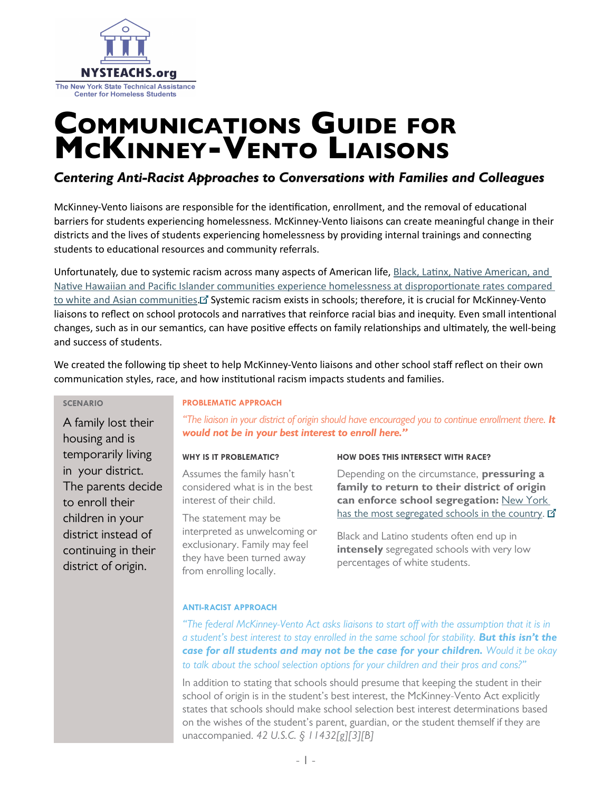

# Communications Guide for McKinney-Vento Liaisons

# Centering Anti-Racist Approaches to Conversations with Families and Colleagues

McKinney-Vento liaisons are responsible for the identification, enrollment, and the removal of educational barriers for students experiencing homelessness. McKinney-Vento liaisons can create meaningful change in their districts and the lives of students experiencing homelessness by providing internal trainings and connecting students to educational resources and community referrals.

Unfortunately, due to systemic racism across many aspects of American life, Black, Latinx, Native American, and [Native Hawaiian and Pacific Islander communities experience homelessness at disproportionate rates compared](https://nlchp.org/wp-content/uploads/2020/05/Racism-Homelessness-and-COVID-19-Fact-Sheet-_Final_2.pdf)  [to white and Asian communities](https://nlchp.org/wp-content/uploads/2020/05/Racism-Homelessness-and-COVID-19-Fact-Sheet-_Final_2.pdf)[.](http://www.nysed.gov/common/nysed/files/kucsera-new-york-extreme-segregation-2014.pdf) L<sup>T</sup> Systemic racism exists in schools; therefore, it is crucial for McKinney-Vento liaisons to reflect on school protocols and narratives that reinforce racial bias and inequity. Even small intentional changes, such as in our semantics, can have positive effects on family relationships and ultimately, the well-being and success of students.

We created the following tip sheet to help McKinney-Vento liaisons and other school staff reflect on their own communication styles, race, and how institutional racism impacts students and families.

### **SCENARIO**

A family lost their housing and is temporarily living in your district. The parents decide to enroll their children in your district instead of continuing in their district of origin.

#### **PROBLEMATIC APPROACH**

"The liaison in your district of origin should have encouraged you to continue enrollment there. It would not be in your best interest to enroll here."

# **WHY IS IT PROBLEMATIC?**

Assumes the family hasn't considered what is in the best interest of their child.

The statement may be interpreted as unwelcoming or exclusionary. Family may feel they have been turned away from enrolling locally.

# **HOW DOES THIS INTERSECT WITH RACE?**

Depending on the circumstance, **pressuring a** family to return to their district of origin can enforce school segregation: [New York](http://www.nysed.gov/common/nysed/files/kucsera-new-york-extreme-segregation-2014.pdf)  [has the most segregated schools in the country.](http://www.nysed.gov/common/nysed/files/kucsera-new-york-extreme-segregation-2014.pdf)  $\vec{\Delta}$ 

Black and Latino students often end up in intensely segregated schools with very low percentages of white students.

# **ANTI-RACIST APPROACH**

"The federal McKinney-Vento Act asks liaisons to start off with the assumption that it is in a student's best interest to stay enrolled in the same school for stability. But this isn't the case for all students and may not be the case for your children. Would it be okay to talk about the school selection options for your children and their pros and cons?"

In addition to stating that schools should presume that keeping the student in their school of origin is in the student's best interest, the McKinney-Vento Act explicitly states that schools should make school selection best interest determinations based on the wishes of the student's parent, guardian, or the student themself if they are unaccompanied. 42 U.S.C. § 11432[g][3][B]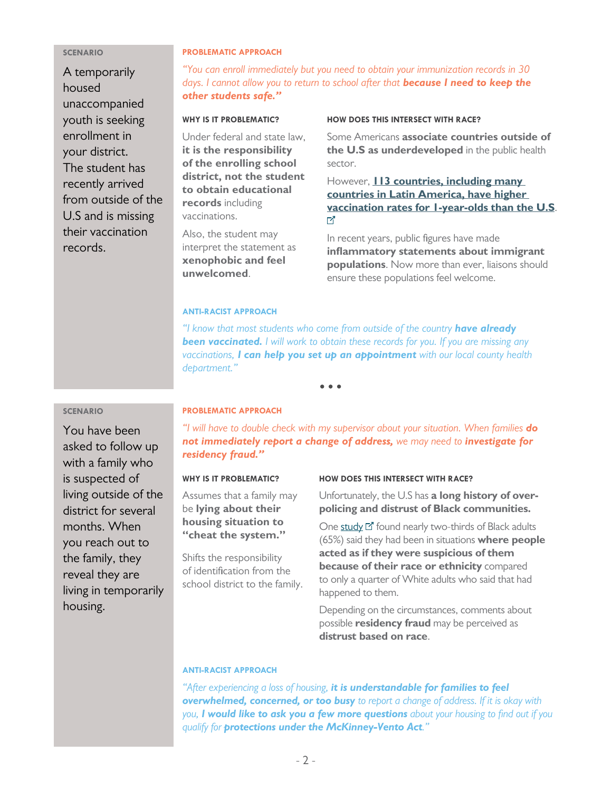#### **SCENARIO**

A temporarily housed unaccompanied youth is seeking enrollment in your district. The student has recently arrived from outside of the U.S and is missing their vaccination records.

#### **PROBLEMATIC APPROACH**

"You can enroll immediately but you need to obtain your immunization records in 30 days. I cannot allow you to return to school after that **because I need to keep the** other students safe."

#### **WHY IS IT PROBLEMATIC?**

Under federal and state law, it is the responsibility of the enrolling school district, not the student to obtain educational records including vaccinations.

Also, the student may interpret the statement as xenophobic and feel unwelcomed.

### **HOW DOES THIS INTERSECT WITH RACE?**

Some Americans associate countries outside of the U.S as underdeveloped in the public health sector.

However, **113 countries, including many** [countries in Latin America, have higher](https://www.adl.org/media/6950/download)  [vaccination rates for 1-year-olds than the U.S](https://www.adl.org/media/6950/download). 吖

In recent years, public figures have made inflammatory statements about immigrant populations. Now more than ever, liaisons should ensure these populations feel welcome.

# **ANTI-RACIST APPROACH**

"I know that most students who come from outside of the country have already **been vaccinated.** I will work to obtain these records for you. If you are missing any vaccinations, I can help you set up an appointment with our local county health department."

 $\bullet\bullet\bullet$ 

# **SCENARIO**

You have been asked to follow up with a family who is suspected of living outside of the district for several months. When you reach out to the family, they reveal they are living in temporarily housing.

# **PROBLEMATIC APPROACH**

"I will have to double check with my supervisor about your situation. When families do not immediately report a change of address, we may need to investigate for residency fraud."

### **WHY IS IT PROBLEMATIC?**

Assumes that a family may be lying about their housing situation to "cheat the system."

Shifts the responsibility of identification from the school district to the family.

#### **HOW DOES THIS INTERSECT WITH RACE?**

Unfortunately, the U.S has a long history of overpolicing and distrust of Black communities.

One [study](https://www.pewresearch.org/fact-tank/2020/06/03/10-things-we-know-about-race-and-policing-in-the-u-s/) II found nearly two-thirds of Black adults (65%) said they had been in situations where people acted as if they were suspicious of them because of their race or ethnicity compared to only a quarter of White adults who said that had happened to them.

Depending on the circumstances, comments about possible **residency fraud** may be perceived as distrust based on race.

# **ANTI-RACIST APPROACH**

"After experiencing a loss of housing, it is understandable for families to feel overwhelmed, concerned, or too busy to report a change of address. If it is okay with you, I would like to ask you a few more questions about your housing to find out if you qualify for **protections under the McKinney-Vento Act.**"